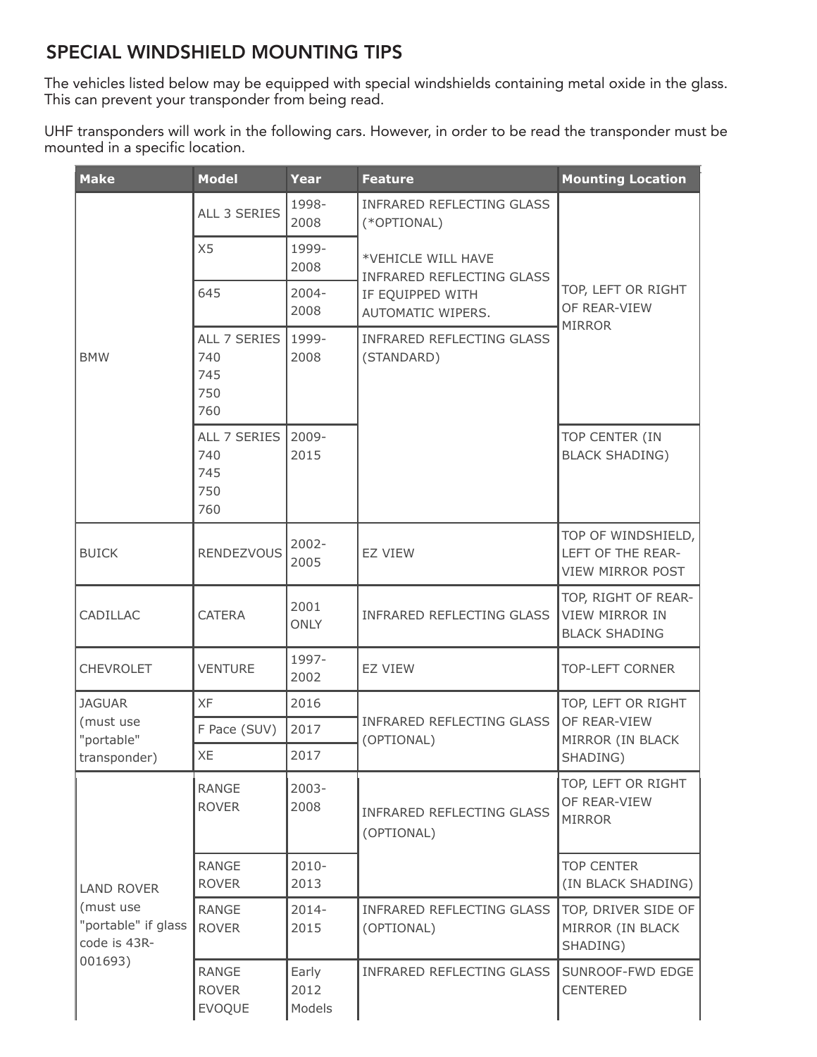## $DCCIAI NA$  $\mathbf{m}$ 2013 - 2020 SPECIAL WINDSHIELD MOUNTING TIPS

The vehicles listed below may be equipped with special windshields containing metal oxide in the glass. This can prevent your transponder from being read. e vehicles listed  $\overline{\phantom{a}}$ is can prev $\overline{\phantom{a}}$ elow may be equipped with special windshields containing metal oxide ir

UHF transponders will work in the following cars. However, in order to be read the transponder must be mounted in a specific location. ill wor c locat  $f$ ollo Internal Howeyer in order to be read the transponder

| <b>Make</b>                                                 | <b>Model</b>                                  | <b>Year</b>             | <b>Feature</b>                                         | <b>Mounting Location</b>                                             |  |
|-------------------------------------------------------------|-----------------------------------------------|-------------------------|--------------------------------------------------------|----------------------------------------------------------------------|--|
|                                                             | ALL 3 SERIES                                  | 1998-<br>2008           | <b>INFRARED REFLECTING GLASS</b><br>(*OPTIONAL)        |                                                                      |  |
|                                                             | X5                                            | 1999-<br>2008           | *VEHICLE WILL HAVE<br><b>INFRARED REFLECTING GLASS</b> | TOP, LEFT OR RIGHT<br>OF REAR-VIEW<br><b>MIRROR</b>                  |  |
|                                                             | 645                                           | $2004 -$<br>2008        | IF EQUIPPED WITH<br>AUTOMATIC WIPERS.                  |                                                                      |  |
| <b>BMW</b>                                                  | ALL 7 SERIES<br>740<br>745<br>750<br>760      | 1999-<br>2008           | <b>INFRARED REFLECTING GLASS</b><br>(STANDARD)         |                                                                      |  |
|                                                             | ALL 7 SERIES<br>740<br>745<br>750<br>760      | $2009 -$<br>2015        |                                                        | TOP CENTER (IN<br><b>BLACK SHADING)</b>                              |  |
| <b>BUICK</b>                                                | <b>RENDEZVOUS</b>                             | $2002 -$<br>2005        | <b>EZ VIEW</b>                                         | TOP OF WINDSHIELD,<br>LEFT OF THE REAR-<br>VIEW MIRROR POST          |  |
| CADILLAC                                                    | <b>CATERA</b>                                 | 2001<br><b>ONLY</b>     | <b>INFRARED REFLECTING GLASS</b>                       | TOP, RIGHT OF REAR-<br><b>VIEW MIRROR IN</b><br><b>BLACK SHADING</b> |  |
| <b>CHEVROLET</b>                                            | <b>VENTURE</b>                                | 1997-<br>2002           | <b>EZ VIEW</b>                                         | <b>TOP-LEFT CORNER</b>                                               |  |
| <b>JAGUAR</b>                                               | <b>XF</b>                                     | 2016                    |                                                        | TOP, LEFT OR RIGHT                                                   |  |
| (must use<br>"portable"                                     | F Pace (SUV)                                  | 2017                    | <b>INFRARED REFLECTING GLASS</b><br>(OPTIONAL)         | OF REAR-VIEW<br>MIRROR (IN BLACK                                     |  |
| transponder)                                                | <b>XE</b><br>2017                             |                         |                                                        | SHADING)                                                             |  |
|                                                             | <b>RANGE</b><br><b>ROVER</b>                  | $2003 -$<br>2008        | <b>INFRARED REFLECTING GLASS</b><br>(OPTIONAL)         | TOP, LEFT OR RIGHT<br>OF REAR-VIEW<br><b>MIRROR</b>                  |  |
| <b>LAND ROVER</b>                                           | RANGE<br><b>ROVER</b>                         | $2010 -$<br>2013        |                                                        | <b>TOP CENTER</b><br>(IN BLACK SHADING)                              |  |
| (must use<br>"portable" if glass<br>code is 43R-<br>001693) | <b>RANGE</b><br><b>ROVER</b>                  | $2014 -$<br>2015        | INFRARED REFLECTING GLASS<br>(OPTIONAL)                | TOP, DRIVER SIDE OF<br>MIRROR (IN BLACK<br>SHADING)                  |  |
|                                                             | <b>RANGE</b><br><b>ROVER</b><br><b>EVOQUE</b> | Early<br>2012<br>Models | <b>INFRARED REFLECTING GLASS</b>                       | SUNROOF-FWD EDGE<br><b>CENTERED</b>                                  |  |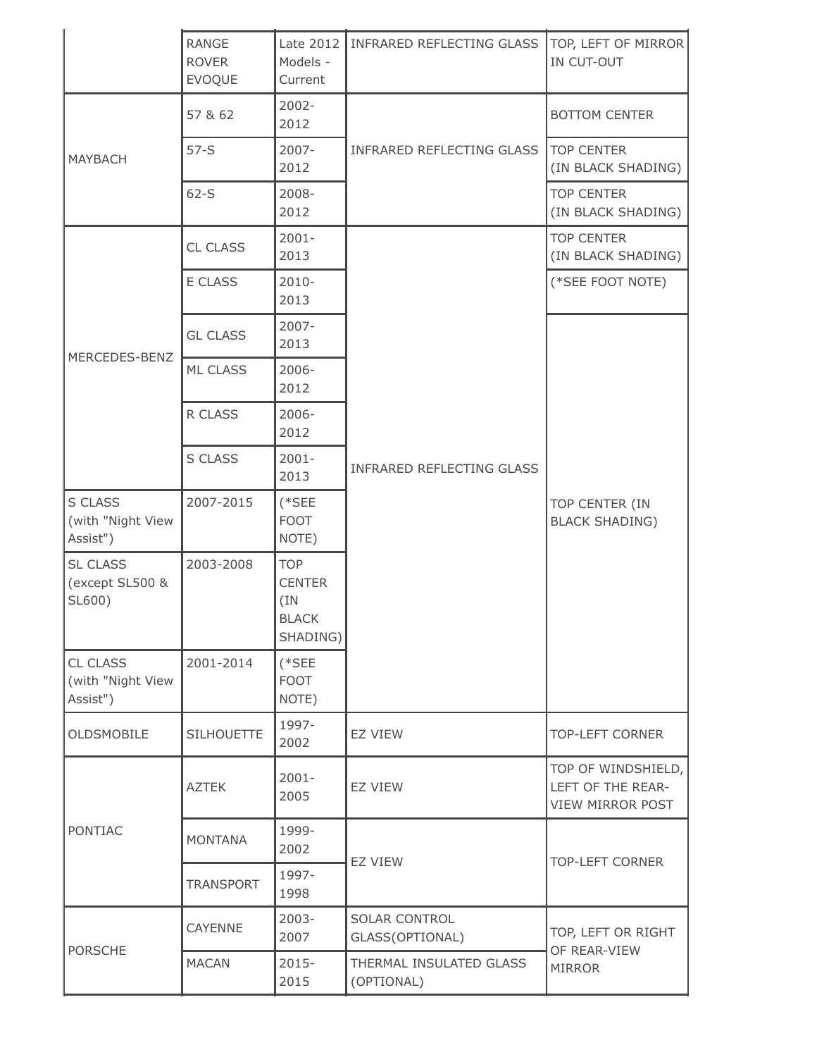|                                              | <b>RANGE</b>                  | Late 2012                                                       | INFRARED REFLECTING GLASS             | TOP, LEFT OF MIRROR                                                |  |
|----------------------------------------------|-------------------------------|-----------------------------------------------------------------|---------------------------------------|--------------------------------------------------------------------|--|
|                                              | <b>ROVER</b><br><b>EVOQUE</b> | Models -<br>Current                                             |                                       | IN CUT-OUT                                                         |  |
| <b>MAYBACH</b>                               | 57 & 62                       | $2002 -$<br>2012                                                |                                       | <b>BOTTOM CENTER</b>                                               |  |
|                                              | $57-S$                        | $2007 -$<br>2012                                                | INFRARED REFLECTING GLASS             | <b>TOP CENTER</b><br>(IN BLACK SHADING)                            |  |
|                                              | $62-S$                        | 2008-<br>2012                                                   |                                       | <b>TOP CENTER</b><br>(IN BLACK SHADING)                            |  |
|                                              | <b>CL CLASS</b>               | $2001 -$<br>2013                                                |                                       | <b>TOP CENTER</b><br>(IN BLACK SHADING)                            |  |
|                                              | E CLASS                       | $2010 -$<br>2013                                                |                                       | (*SEE FOOT NOTE)                                                   |  |
|                                              | <b>GL CLASS</b>               | $2007 -$<br>2013                                                |                                       |                                                                    |  |
| MERCEDES-BENZ                                | <b>ML CLASS</b>               | $2006 -$<br>2012                                                |                                       | TOP CENTER (IN<br><b>BLACK SHADING)</b>                            |  |
|                                              | R CLASS                       | $2006 -$<br>2012                                                |                                       |                                                                    |  |
|                                              | S CLASS                       | $2001 -$<br>2013                                                | INFRARED REFLECTING GLASS             |                                                                    |  |
| S CLASS<br>(with "Night View<br>Assist")     | 2007-2015                     | $(*SEE"$<br><b>FOOT</b><br>NOTE)                                |                                       |                                                                    |  |
| <b>SL CLASS</b><br>(except SL500 &<br>SL600) | 2003-2008                     | <b>TOP</b><br><b>CENTER</b><br>(IN)<br><b>BLACK</b><br>SHADING) |                                       |                                                                    |  |
| CL CLASS<br>(with "Night View<br>Assist")    | 2001-2014                     | $(*SEE"$<br><b>FOOT</b><br>NOTE)                                |                                       |                                                                    |  |
| <b>OLDSMOBILE</b>                            | <b>SILHOUETTE</b>             | 1997-<br>2002                                                   | <b>EZ VIEW</b>                        | <b>TOP-LEFT CORNER</b>                                             |  |
| <b>PONTIAC</b>                               | <b>AZTEK</b>                  | $2001 -$<br>2005                                                | EZ VIEW                               | TOP OF WINDSHIELD,<br>LEFT OF THE REAR-<br><b>VIEW MIRROR POST</b> |  |
|                                              | <b>MONTANA</b>                | 1999-<br>2002                                                   | <b>EZ VIEW</b>                        | <b>TOP-LEFT CORNER</b>                                             |  |
|                                              | <b>TRANSPORT</b>              | 1997-<br>1998                                                   |                                       |                                                                    |  |
|                                              | <b>CAYENNE</b>                | $2003 -$<br>2007                                                | SOLAR CONTROL<br>GLASS(OPTIONAL)      | TOP, LEFT OR RIGHT                                                 |  |
| <b>PORSCHE</b>                               | <b>MACAN</b>                  | $2015 -$<br>2015                                                | THERMAL INSULATED GLASS<br>(OPTIONAL) | OF REAR-VIEW<br><b>MIRROR</b>                                      |  |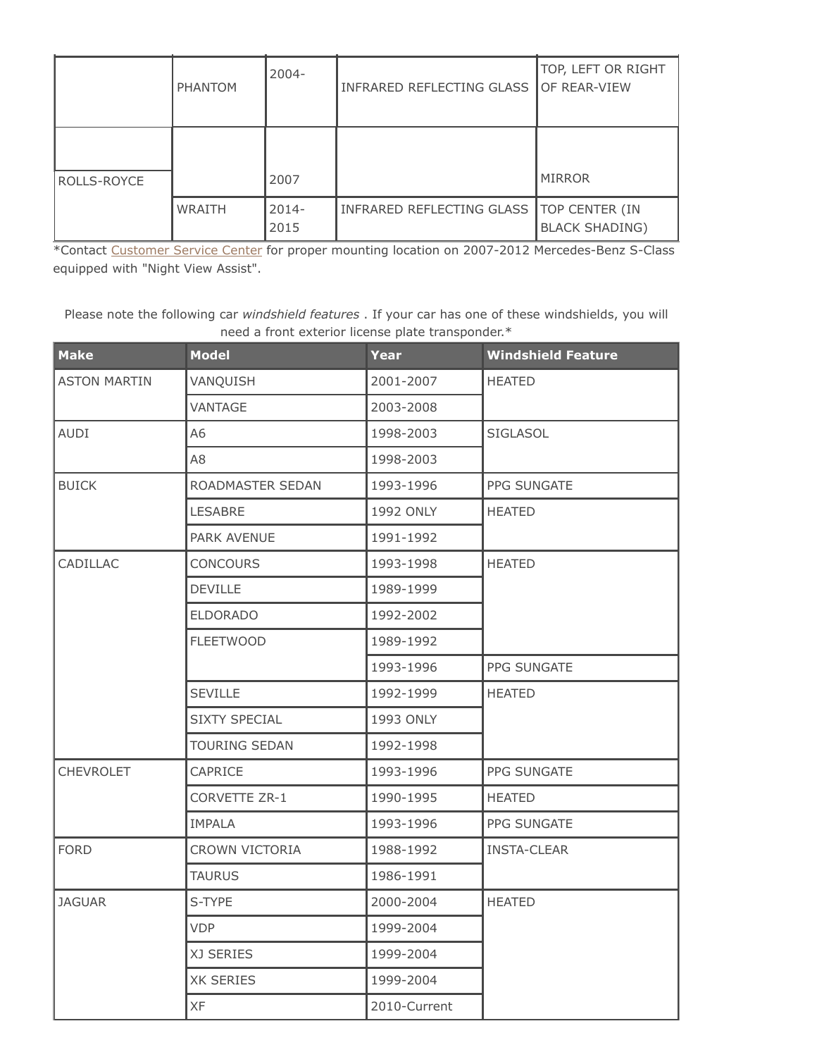|             | <b>PHANTOM</b> | 2004-            | INFRARED REFLECTING GLASS | TOP, LEFT OR RIGHT<br>OF REAR-VIEW      |
|-------------|----------------|------------------|---------------------------|-----------------------------------------|
| ROLLS-ROYCE |                | 2007             |                           | <b>MIRROR</b>                           |
|             | <b>WRAITH</b>  | $2014 -$<br>2015 | INFRARED REFLECTING GLASS | TOP CENTER (IN<br><b>BLACK SHADING)</b> |

nned with "Night" GL CLASS 2007- 2013 \*Contact Customer Service Center for proper mounting location on 2007-2012 Mercedes-Benz S-Class equipped with "Night View Assist".

r Car *mnashera rea* need a front exterior license plate transponder.\*<br>-Please note the following car *windshield features* . If your car has one of these windshields, you will

| <b>Make</b>         | <b>Model</b>          | <b>Year</b>  | <b>Windshield Feature</b> |  |
|---------------------|-----------------------|--------------|---------------------------|--|
| <b>ASTON MARTIN</b> | VANQUISH              | 2001-2007    | <b>HEATED</b>             |  |
|                     | VANTAGE               | 2003-2008    |                           |  |
| <b>AUDI</b>         | A6                    | 1998-2003    | <b>SIGLASOL</b>           |  |
|                     | A8                    | 1998-2003    |                           |  |
| <b>BUICK</b>        | ROADMASTER SEDAN      | 1993-1996    | <b>PPG SUNGATE</b>        |  |
|                     | LESABRE               | 1992 ONLY    | <b>HEATED</b>             |  |
|                     | PARK AVENUE           | 1991-1992    |                           |  |
| CADILLAC            | <b>CONCOURS</b>       | 1993-1998    | <b>HEATED</b>             |  |
|                     | <b>DEVILLE</b>        | 1989-1999    |                           |  |
|                     | <b>ELDORADO</b>       | 1992-2002    |                           |  |
|                     | <b>FLEETWOOD</b>      | 1989-1992    |                           |  |
|                     |                       | 1993-1996    | PPG SUNGATE               |  |
|                     | <b>SEVILLE</b>        | 1992-1999    | <b>HEATED</b>             |  |
|                     | <b>SIXTY SPECIAL</b>  | 1993 ONLY    |                           |  |
|                     | <b>TOURING SEDAN</b>  | 1992-1998    |                           |  |
| CHEVROLET           | CAPRICE               | 1993-1996    | PPG SUNGATE               |  |
|                     | CORVETTE ZR-1         | 1990-1995    | <b>HEATED</b>             |  |
|                     | <b>IMPALA</b>         | 1993-1996    | PPG SUNGATE               |  |
| <b>FORD</b>         | <b>CROWN VICTORIA</b> | 1988-1992    | <b>INSTA-CLEAR</b>        |  |
|                     | <b>TAURUS</b>         | 1986-1991    |                           |  |
| <b>JAGUAR</b>       | S-TYPE                | 2000-2004    | <b>HEATED</b>             |  |
|                     | <b>VDP</b>            | 1999-2004    |                           |  |
|                     | XJ SERIES             | 1999-2004    |                           |  |
|                     | <b>XK SERIES</b>      | 1999-2004    |                           |  |
|                     | XF                    | 2010-Current |                           |  |

ROLLS-ROYCE 2007 MIRROR